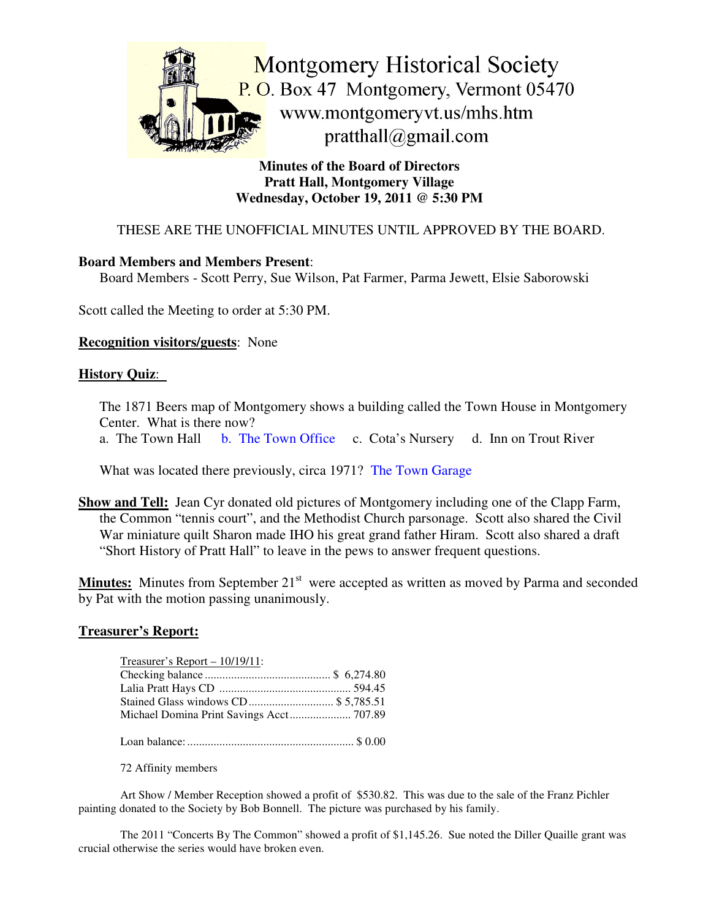

**Minutes of the Board of Directors Pratt Hall, Montgomery Village Wednesday, October 19, 2011 @ 5:30 PM**

## THESE ARE THE UNOFFICIAL MINUTES UNTIL APPROVED BY THE BOARD.

## **Board Members and Members Present**:

Board Members - Scott Perry, Sue Wilson, Pat Farmer, Parma Jewett, Elsie Saborowski

Scott called the Meeting to order at 5:30 PM.

#### **Recognition visitors/guests**: None

#### **History Quiz**:

The 1871 Beers map of Montgomery shows a building called the Town House in Montgomery Center. What is there now?

a. The Town Hall b. The Town Office c. Cota's Nursery d. Inn on Trout River

What was located there previously, circa 1971? The Town Garage

**Show and Tell:** Jean Cyr donated old pictures of Montgomery including one of the Clapp Farm, the Common "tennis court", and the Methodist Church parsonage. Scott also shared the Civil War miniature quilt Sharon made IHO his great grand father Hiram. Scott also shared a draft "Short History of Pratt Hall" to leave in the pews to answer frequent questions.

Minutes: Minutes from September 21<sup>st</sup> were accepted as written as moved by Parma and seconded by Pat with the motion passing unanimously.

#### **Treasurer's Report:**

| Stained Glass windows CD \$5,785.51      |
|------------------------------------------|
| Michael Domina Print Savings Acct 707.89 |
|                                          |

Loan balance:......................................................... \$ 0.00

72 Affinity members

Art Show / Member Reception showed a profit of \$530.82. This was due to the sale of the Franz Pichler painting donated to the Society by Bob Bonnell. The picture was purchased by his family.

The 2011 "Concerts By The Common" showed a profit of \$1,145.26. Sue noted the Diller Quaille grant was crucial otherwise the series would have broken even.